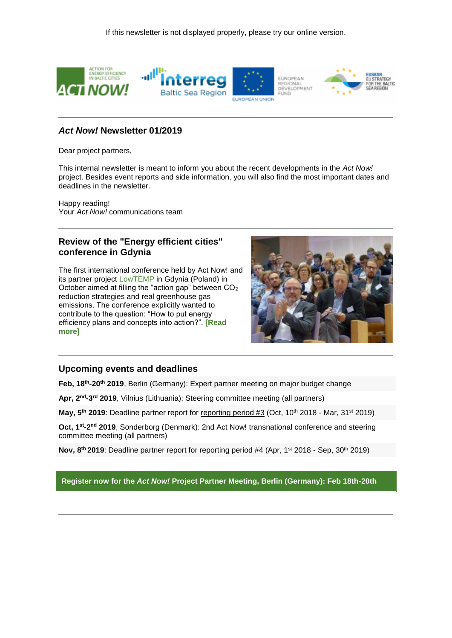

### *Act Now!* **Newsletter 01/2019**

Dear project partners,

This internal newsletter is meant to inform you about the recent developments in the *Act Now!* project. Besides event reports and side information, you will also find the most important dates and deadlines in the newsletter.

Happy reading! Your *Act Now!* communications team

### **Review of the "Energy efficient cities" conference in Gdynia**

The first international conference held by Act Now! and its partner project [LowTEMP](https://191838.seu.cleverreach.com/c/33694530/08243c902-plj6mr) in Gdynia (Poland) in October aimed at filling the "action gap" between CO<sup>2</sup> reduction strategies and real greenhouse gas emissions. The conference explicitly wanted to contribute to the question: "How to put energy efficiency plans and concepts into action?". **[\[Read](https://191838.seu.cleverreach.com/c/33712061/08243c902-plj6mr)  [more\]](https://191838.seu.cleverreach.com/c/33712061/08243c902-plj6mr)**



#### **Upcoming events and deadlines**

**Feb, 18th -20th 2019**, Berlin (Germany): Expert partner meeting on major budget change

**Apr, 2nd -3 rd 2019**, Vilnius (Lithuania): Steering committee meeting (all partners)

**May, 5th 2019**: Deadline partner report for reporting period #3 (Oct, 10th 2018 - Mar, 31st 2019)

**Oct, 1<sup>st</sup>-2<sup>nd</sup> 2019**, Sonderborg (Denmark): 2nd Act Now! transnational conference and steering committee meeting (all partners)

**Nov, 8th 2019**: Deadline partner report for reporting period #4 (Apr, 1st 2018 - Sep, 30th 2019)

**[Register now](https://191838.seu.cleverreach.com/c/33712062/08243c902-plj6mr) for the** *Act Now!* **Project Partner Meeting, Berlin (Germany): Feb 18th-20th**